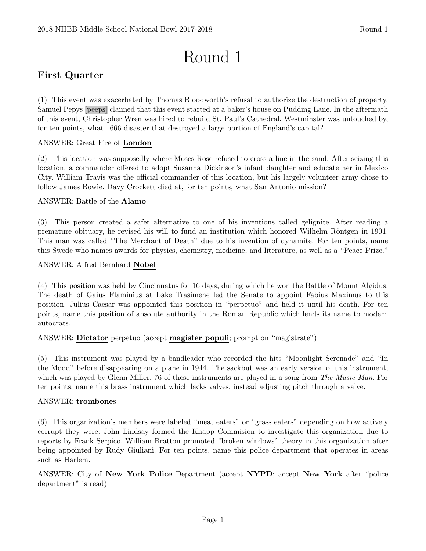# Round 1

# First Quarter

(1) This event was exacerbated by Thomas Bloodworth's refusal to authorize the destruction of property. Samuel Pepys [peeps] claimed that this event started at a baker's house on Pudding Lane. In the aftermath of this event, Christopher Wren was hired to rebuild St. Paul's Cathedral. Westminster was untouched by, for ten points, what 1666 disaster that destroyed a large portion of England's capital?

# ANSWER: Great Fire of London

(2) This location was supposedly where Moses Rose refused to cross a line in the sand. After seizing this location, a commander offered to adopt Susanna Dickinson's infant daughter and educate her in Mexico City. William Travis was the official commander of this location, but his largely volunteer army chose to follow James Bowie. Davy Crockett died at, for ten points, what San Antonio mission?

# ANSWER: Battle of the Alamo

(3) This person created a safer alternative to one of his inventions called gelignite. After reading a premature obituary, he revised his will to fund an institution which honored Wilhelm Röntgen in 1901. This man was called "The Merchant of Death" due to his invention of dynamite. For ten points, name this Swede who names awards for physics, chemistry, medicine, and literature, as well as a "Peace Prize."

# ANSWER: Alfred Bernhard Nobel

(4) This position was held by Cincinnatus for 16 days, during which he won the Battle of Mount Algidus. The death of Gaius Flaminius at Lake Trasimene led the Senate to appoint Fabius Maximus to this position. Julius Caesar was appointed this position in "perpetuo" and held it until his death. For ten points, name this position of absolute authority in the Roman Republic which lends its name to modern autocrats.

# ANSWER: Dictator perpetuo (accept magister populi; prompt on "magistrate")

(5) This instrument was played by a bandleader who recorded the hits "Moonlight Serenade" and "In the Mood" before disappearing on a plane in 1944. The sackbut was an early version of this instrument, which was played by Glenn Miller. 76 of these instruments are played in a song from The Music Man. For ten points, name this brass instrument which lacks valves, instead adjusting pitch through a valve.

### ANSWER: trombones

(6) This organization's members were labeled "meat eaters" or "grass eaters" depending on how actively corrupt they were. John Lindsay formed the Knapp Commision to investigate this organization due to reports by Frank Serpico. William Bratton promoted "broken windows" theory in this organization after being appointed by Rudy Giuliani. For ten points, name this police department that operates in areas such as Harlem.

ANSWER: City of New York Police Department (accept NYPD; accept New York after "police department" is read)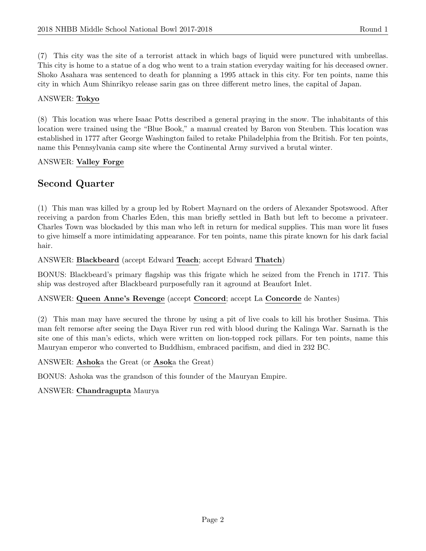(7) This city was the site of a terrorist attack in which bags of liquid were punctured with umbrellas. This city is home to a statue of a dog who went to a train station everyday waiting for his deceased owner. Shoko Asahara was sentenced to death for planning a 1995 attack in this city. For ten points, name this city in which Aum Shinrikyo release sarin gas on three different metro lines, the capital of Japan.

# ANSWER: Tokyo

(8) This location was where Isaac Potts described a general praying in the snow. The inhabitants of this location were trained using the "Blue Book," a manual created by Baron von Steuben. This location was established in 1777 after George Washington failed to retake Philadelphia from the British. For ten points, name this Pennsylvania camp site where the Continental Army survived a brutal winter.

# ANSWER: Valley Forge

# Second Quarter

(1) This man was killed by a group led by Robert Maynard on the orders of Alexander Spotswood. After receiving a pardon from Charles Eden, this man briefly settled in Bath but left to become a privateer. Charles Town was blockaded by this man who left in return for medical supplies. This man wore lit fuses to give himself a more intimidating appearance. For ten points, name this pirate known for his dark facial hair.

# ANSWER: Blackbeard (accept Edward Teach; accept Edward Thatch)

BONUS: Blackbeard's primary flagship was this frigate which he seized from the French in 1717. This ship was destroyed after Blackbeard purposefully ran it aground at Beaufort Inlet.

### ANSWER: Queen Anne's Revenge (accept Concord; accept La Concorde de Nantes)

(2) This man may have secured the throne by using a pit of live coals to kill his brother Susima. This man felt remorse after seeing the Daya River run red with blood during the Kalinga War. Sarnath is the site one of this man's edicts, which were written on lion-topped rock pillars. For ten points, name this Mauryan emperor who converted to Buddhism, embraced pacifism, and died in 232 BC.

### ANSWER: Ashoka the Great (or Asoka the Great)

BONUS: Ashoka was the grandson of this founder of the Mauryan Empire.

### ANSWER: Chandragupta Maurya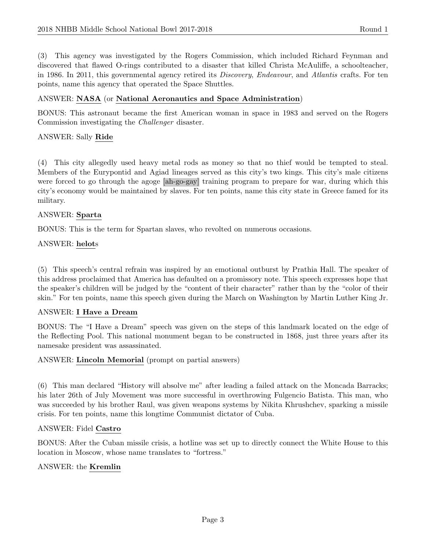(3) This agency was investigated by the Rogers Commission, which included Richard Feynman and discovered that flawed O-rings contributed to a disaster that killed Christa McAuliffe, a schoolteacher, in 1986. In 2011, this governmental agency retired its Discovery, Endeavour, and Atlantis crafts. For ten points, name this agency that operated the Space Shuttles.

#### ANSWER: NASA (or National Aeronautics and Space Administration)

BONUS: This astronaut became the first American woman in space in 1983 and served on the Rogers Commission investigating the Challenger disaster.

#### ANSWER: Sally Ride

(4) This city allegedly used heavy metal rods as money so that no thief would be tempted to steal. Members of the Eurypontid and Agiad lineages served as this city's two kings. This city's male citizens were forced to go through the agoge [ah-go-gay] training program to prepare for war, during which this city's economy would be maintained by slaves. For ten points, name this city state in Greece famed for its military.

#### ANSWER: Sparta

BONUS: This is the term for Spartan slaves, who revolted on numerous occasions.

#### ANSWER: helots

(5) This speech's central refrain was inspired by an emotional outburst by Prathia Hall. The speaker of this address proclaimed that America has defaulted on a promissory note. This speech expresses hope that the speaker's children will be judged by the "content of their character" rather than by the "color of their skin." For ten points, name this speech given during the March on Washington by Martin Luther King Jr.

### ANSWER: I Have a Dream

BONUS: The "I Have a Dream" speech was given on the steps of this landmark located on the edge of the Reflecting Pool. This national monument began to be constructed in 1868, just three years after its namesake president was assassinated.

#### ANSWER: Lincoln Memorial (prompt on partial answers)

(6) This man declared "History will absolve me" after leading a failed attack on the Moncada Barracks; his later 26th of July Movement was more successful in overthrowing Fulgencio Batista. This man, who was succeeded by his brother Raul, was given weapons systems by Nikita Khrushchev, sparking a missile crisis. For ten points, name this longtime Communist dictator of Cuba.

#### ANSWER: Fidel Castro

BONUS: After the Cuban missile crisis, a hotline was set up to directly connect the White House to this location in Moscow, whose name translates to "fortress."

#### ANSWER: the Kremlin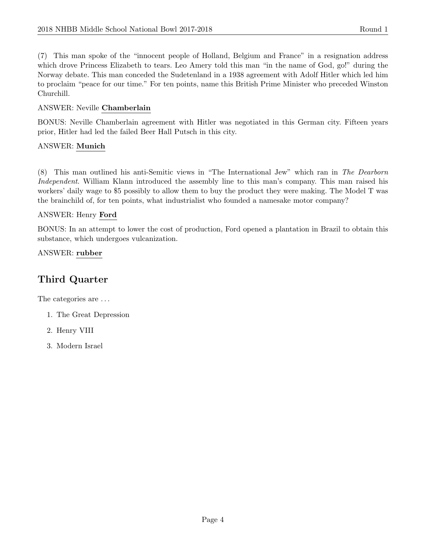(7) This man spoke of the "innocent people of Holland, Belgium and France" in a resignation address which drove Princess Elizabeth to tears. Leo Amery told this man "in the name of God, go!" during the Norway debate. This man conceded the Sudetenland in a 1938 agreement with Adolf Hitler which led him to proclaim "peace for our time." For ten points, name this British Prime Minister who preceded Winston Churchill.

# ANSWER: Neville Chamberlain

BONUS: Neville Chamberlain agreement with Hitler was negotiated in this German city. Fifteen years prior, Hitler had led the failed Beer Hall Putsch in this city.

### ANSWER: Munich

(8) This man outlined his anti-Semitic views in "The International Jew" which ran in The Dearborn Independent. William Klann introduced the assembly line to this man's company. This man raised his workers' daily wage to \$5 possibly to allow them to buy the product they were making. The Model T was the brainchild of, for ten points, what industrialist who founded a namesake motor company?

# ANSWER: Henry Ford

BONUS: In an attempt to lower the cost of production, Ford opened a plantation in Brazil to obtain this substance, which undergoes vulcanization.

ANSWER: rubber

# Third Quarter

The categories are  $\dots$ 

- 1. The Great Depression
- 2. Henry VIII
- 3. Modern Israel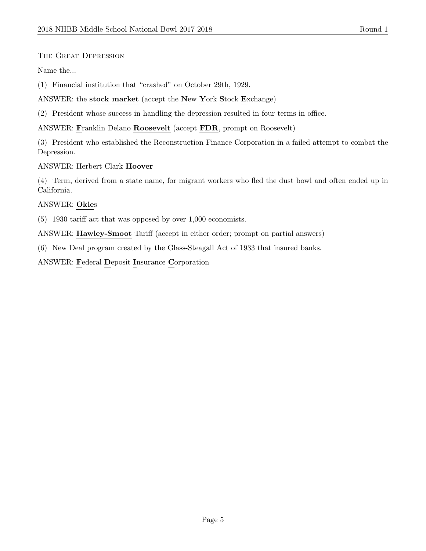#### The Great Depression

Name the...

(1) Financial institution that "crashed" on October 29th, 1929.

ANSWER: the stock market (accept the New York Stock Exchange)

(2) President whose success in handling the depression resulted in four terms in office.

ANSWER: Franklin Delano Roosevelt (accept FDR, prompt on Roosevelt)

(3) President who established the Reconstruction Finance Corporation in a failed attempt to combat the Depression.

ANSWER: Herbert Clark Hoover

(4) Term, derived from a state name, for migrant workers who fled the dust bowl and often ended up in California.

#### ANSWER: Okies

(5) 1930 tariff act that was opposed by over 1,000 economists.

ANSWER: Hawley-Smoot Tariff (accept in either order; prompt on partial answers)

(6) New Deal program created by the Glass-Steagall Act of 1933 that insured banks.

ANSWER: Federal Deposit Insurance Corporation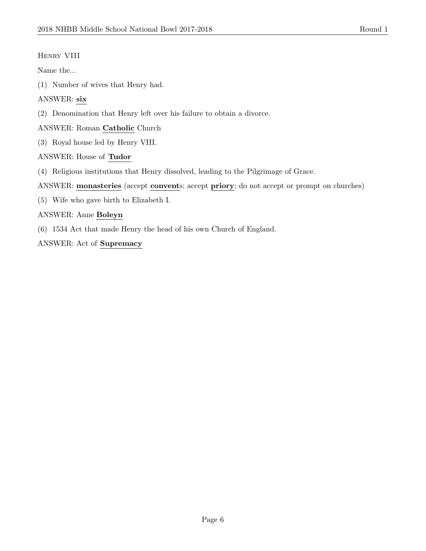### Henry VIII

Name the...

(1) Number of wives that Henry had.

## ANSWER: six

(2) Denomination that Henry left over his failure to obtain a divorce.

ANSWER: Roman Catholic Church

(3) Royal house led by Henry VIII.

### ANSWER: House of Tudor

- (4) Religious institutions that Henry dissolved, leading to the Pilgrimage of Grace.
- ANSWER: monasteries (accept convents; accept priory; do not accept or prompt on churches)
- (5) Wife who gave birth to Elizabeth I.

# ANSWER: Anne Boleyn

(6) 1534 Act that made Henry the head of his own Church of England.

ANSWER: Act of Supremacy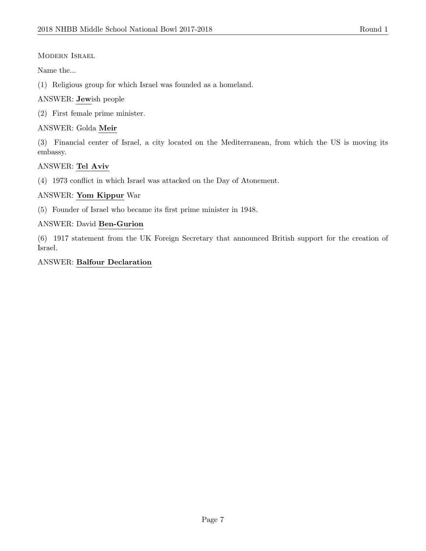Modern Israel

Name the...

(1) Religious group for which Israel was founded as a homeland.

# ANSWER: Jewish people

(2) First female prime minister.

# ANSWER: Golda Meir

(3) Financial center of Israel, a city located on the Mediterranean, from which the US is moving its embassy.

# ANSWER: Tel Aviv

(4) 1973 conflict in which Israel was attacked on the Day of Atonement.

# ANSWER: Yom Kippur War

(5) Founder of Israel who became its first prime minister in 1948.

# ANSWER: David Ben-Gurion

(6) 1917 statement from the UK Foreign Secretary that announced British support for the creation of Israel.

# ANSWER: Balfour Declaration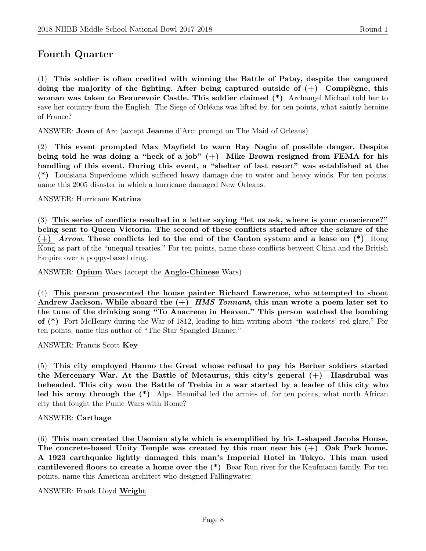# Fourth Quarter

(1) This soldier is often credited with winning the Battle of Patay, despite the vanguard doing the majority of the fighting. After being captured outside of  $(+)$  Compiègne, this woman was taken to Beaurevoir Castle. This soldier claimed (\*) Archangel Michael told her to save her country from the English. The Siege of Orléans was lifted by, for ten points, what saintly heroine of France?

ANSWER: Joan of Arc (accept Jeanne d'Arc; prompt on The Maid of Orleans)

(2) This event prompted Max Mayfield to warn Ray Nagin of possible danger. Despite being told he was doing a "heck of a job"  $(+)$  Mike Brown resigned from FEMA for his handling of this event. During this event, a "shelter of last resort" was established at the (\*) Louisiana Superdome which suffered heavy damage due to water and heavy winds. For ten points, name this 2005 disaster in which a hurricane damaged New Orleans.

ANSWER: Hurricane Katrina

(3) This series of conflicts resulted in a letter saying "let us ask, where is your conscience?" being sent to Queen Victoria. The second of these conflicts started after the seizure of the  $(+)$  Arrow. These conflicts led to the end of the Canton system and a lease on  $(*)$  Hong Kong as part of the "unequal treaties." For ten points, name these conflicts between China and the British Empire over a poppy-based drug.

ANSWER: Opium Wars (accept the Anglo-Chinese Wars)

(4) This person prosecuted the house painter Richard Lawrence, who attempted to shoot Andrew Jackson. While aboard the  $(+)$  HMS Tonnant, this man wrote a poem later set to the tune of the drinking song "To Anacreon in Heaven." This person watched the bombing of (\*) Fort McHenry during the War of 1812, leading to him writing about "the rockets' red glare." For ten points, name this author of "The Star Spangled Banner."

ANSWER: Francis Scott Key

(5) This city employed Hanno the Great whose refusal to pay his Berber soldiers started the Mercenary War. At the Battle of Metaurus, this city's general  $(+)$  Hasdrubal was beheaded. This city won the Battle of Trebia in a war started by a leader of this city who led his army through the (\*) Alps. Hannibal led the armies of, for ten points, what north African city that fought the Punic Wars with Rome?

#### ANSWER: Carthage

(6) This man created the Usonian style which is exemplified by his L-shaped Jacobs House. The concrete-based Unity Temple was created by this man near his (+) Oak Park home. A 1923 earthquake lightly damaged this man's Imperial Hotel in Tokyo. This man used cantilevered floors to create a home over the (\*) Bear Run river for the Kaufmann family. For ten points, name this American architect who designed Fallingwater.

ANSWER: Frank Lloyd Wright